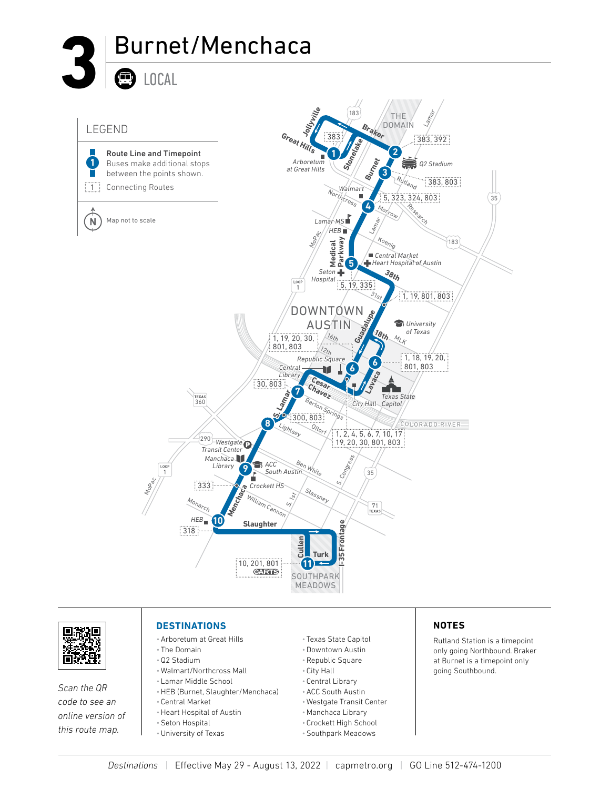





*Scan the QR code to see an online version of this route map.*

#### **DESTINATIONS**

- •Arboretum at Great Hills
- The Domain •Q2 Stadium
- 
- Walmart/Northcross Mall • Lamar Middle School
- 
- •HEB (Burnet, Slaughter/Menchaca)
- Central Market •Heart Hospital of Austin
- •Seton Hospital
- •University of Texas
- Texas State Capitol
- •Downtown Austin
- •Republic Square
- City Hall
- Central Library
- •ACC South Austin
- Westgate Transit Center
- •Manchaca Library
- Crockett High School
- •Southpark Meadows

#### **NOTES**

Rutland Station is a timepoint only going Northbound. Braker at Burnet is a timepoint only going Southbound.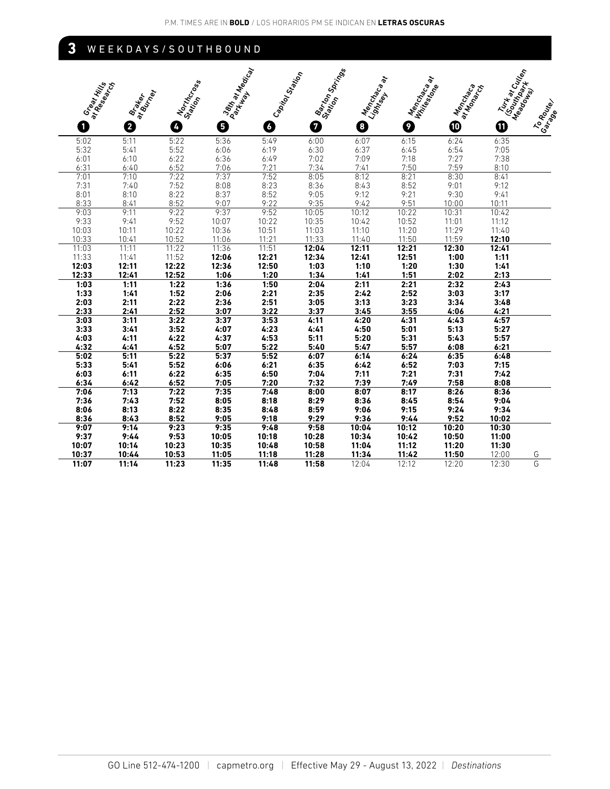## **3** WEEKDAYS/SOUTHBOUND

| Great Hills<br>at Research |                              | Northcross | Darin'ar Hacian | Capitol Station | Barton Springs | ぷ<br>Menchades | Menchando<br><b>William Re</b> | Menchados<br>at Monacch | Turk at Cuttan<br>ISouthpart |                      |
|----------------------------|------------------------------|------------|-----------------|-----------------|----------------|----------------|--------------------------------|-------------------------|------------------------------|----------------------|
|                            | at Burrel<br><b>Brattlet</b> |            |                 |                 |                | Lightsey.      |                                |                         |                              | Meadown              |
| 0                          | 2                            | A          | 0               | 0               | 0              | 8              | 0                              | ◍                       | ➊                            | To Route<br>I Garaga |
| 5:02                       | 5:11                         | 5:22       | 5:36            | 5:49            | 6:00           | 6:07           | 6:15                           | 6:24                    | 6:35                         |                      |
| 5:32                       | 5:41                         | 5:52       | 6:06            | 6:19            | 6:30           | 6:37           | 6:45                           | 6:54                    | 7:05                         |                      |
| 6:01                       | 6:10                         | 6:22       | 6:36            | 6:49            | 7:02           | 7:09           | 7:18                           | 7:27                    | 7:38                         |                      |
| 6:31                       | 6:40                         | 6:52       | 7:06            | 7:21            | 7:34           | 7:41           | 7:50                           | 7:59                    | 8:10                         |                      |
| 7:01                       | 7:10                         | 7:22       | 7:37            | 7:52            | 8:05           | 8:12           | 8:21                           | 8:30                    | 8:41                         |                      |
| 7:31                       | 7:40                         | 7:52       | 8:08            | 8:23            | 8:36           | 8:43           | 8:52                           | 9:01                    | 9:12                         |                      |
| 8:01                       | 8:10                         | 8:22       | 8:37            | 8:52            | 9:05           | 9:12           | 9:21                           | 9:30                    | 9:41                         |                      |
| 8:33                       | 8:41                         | 8:52       | 9:07            | 9:22            | 9:35           | 9:42           | 9:51                           | 10:00                   | 10:11                        |                      |
| 9:03                       | 9:11                         | 9:22       | 9:37            | 9:52            | 10:05          | 10:12          | 10:22                          | 10:31                   | 10:42                        |                      |
| 9:33                       | 9:41                         | 9:52       | 10:07           | 10:22           | 10:35          | 10:42          | 10:52                          | 11:01                   | 11:12                        |                      |
| 10:03                      | 10:11                        | 10:22      | 10:36           | 10:51           | 11:03          | 11:10          | 11:20                          | 11:29                   | 11:40                        |                      |
| 10:33                      | 10:41                        | 10:52      | 11:06           | 11:21           | 11:33          | 11:40          | 11:50                          | 11:59                   | 12:10                        |                      |
| 11:03                      | 11:11                        | 11:22      | 11:36           | 11:51           | 12:04          | 12:11          | 12:21                          | 12:30                   | 12:41                        |                      |
| 11:33                      | 11:41                        | 11:52      | 12:06           | 12:21           | 12:34          | 12:41          | 12:51                          | 1:00                    | 1:11                         |                      |
| 12:03                      | 12:11                        | 12:22      | 12:36           | 12:50           | 1:03           | 1:10           | 1:20                           | 1:30                    | 1:41                         |                      |
| 12:33                      | 12:41                        | 12:52      | 1:06            | 1:20            | 1:34           | 1:41           | 1:51                           | 2:02                    | 2:13                         |                      |
| 1:03                       | 1:11                         | 1:22       | 1:36            | 1:50            | 2:04           | 2:11           | 2:21                           | 2:32                    | 2:43                         |                      |
| 1:33                       | 1:41                         | 1:52       | 2:06            | 2:21            | 2:35           | 2:42           | 2:52                           | 3:03                    | 3:17                         |                      |
| 2:03                       | 2:11                         | 2:22       | 2:36            | 2:51            | 3:05           | 3:13           | 3:23                           | 3:34                    | 3:48                         |                      |
| 2:33                       | 2:41                         | 2:52       | 3:07            | 3:22            | 3:37           | 3:45           | 3:55                           | 4:06                    | 4:21                         |                      |
| 3:03                       | 3:11                         | 3:22       | 3:37            | 3:53            | 4:11           | 4:20           | 4:31                           | 4:43                    | 4:57                         |                      |
| 3:33                       | 3.41                         | 3:52       | 4:07            | 4:23            | 4.41           | 4:50           | 5:01                           | 5:13                    | 5:27                         |                      |
| 4:03                       | 4:11                         | 4:22       | 4:37            | 4:53            | 5:11           | 5:20           | 5:31                           | 5:43                    | 5:57                         |                      |
| 4:32                       | 4:41                         | 4:52       | 5:07            | 5:22            | 5:40           | 5:47           | 5:57                           | 6:08                    | 6:21                         |                      |
| 5:02                       | 5:11                         | 5:22       | 5:37            | 5:52            | 6:07           | 6:14           | 6:24                           | 6:35                    | 6:48                         |                      |
| 5:33                       | 5:41                         | 5:52       | 6:06            | 6:21            | 6:35           | 6:42           | 6:52                           | 7:03                    | 7:15                         |                      |
| 6:03                       | 6:11                         | 6:22       | 6:35            | 6:50            | 7:04           | 7:11           | 7:21                           | 7:31                    | 7:42                         |                      |
| 6:34                       | 6:42                         | 6:52       | 7:05            | 7:20            | 7:32           | 7:39           | 7:49                           | 7:58                    | 8:08                         |                      |
| 7:06                       | 7:13                         | 7:22       | 7:35            | 7:48            | 8:00           | 8:07           | 8:17                           | 8:26                    | 8:36                         |                      |
| 7:36                       | 7:43                         | 7:52       | 8:05            | 8:18            | 8:29           | 8:36           | 8:45                           | 8:54                    | 9:04                         |                      |
| 8:06                       | 8:13                         | 8:22       | 8:35            | 8:48            | 8:59           | 9:06           | 9:15                           | 9:24                    | 9:34                         |                      |
| 8:36                       | 8:43                         | 8:52       | 9:05            | 9:18            | 9:29           | 9:36           | 9:44                           | 9:52                    | 10:02                        |                      |
| 9:07                       | 9:14                         | 9:23       | 9:35            | 9:48            | 9:58           | 10:04          | 10:12                          | 10:20                   | 10:30                        |                      |
| 9:37                       | 9:44                         | 9:53       | 10:05           | 10:18           | 10:28          | 10:34          | 10:42                          | 10:50                   | 11:00                        |                      |
| 10:07                      | 10:14                        | 10:23      | 10:35           | 10:48           | 10:58          | 11:04          | 11:12                          | 11:20                   | 11:30                        |                      |
| 10:37                      | 10:44                        | 10:53      | 11:05           | 11:18           | 11:28          | 11:34          | 11:42                          | 11:50                   | 12:00                        | G                    |
| 11:07                      | 11:14                        | 11:23      | 11:35           | 11:48           | 11:58          | 12:04          | 12:12                          | 12:20                   | 12:30                        | G                    |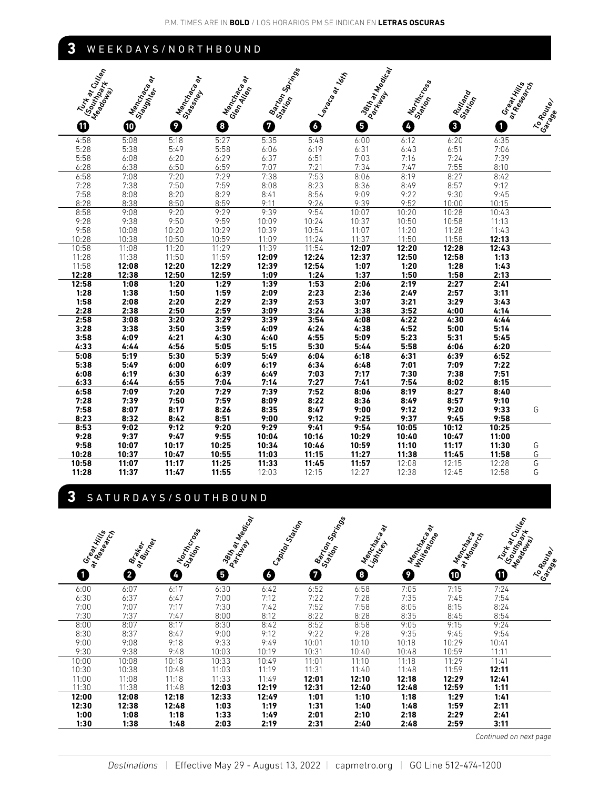### **3** WEEKDAYS/NORTHBOUND

| Turk at Culton            | $\tilde{\sigma}$       | ò         | $\tilde{\sigma}$       | Barton Springs |              | 38th at Medical<br>at 16th |                  |          |                            |           |
|---------------------------|------------------------|-----------|------------------------|----------------|--------------|----------------------------|------------------|----------|----------------------------|-----------|
| (Southpoork)<br>Meadonies | Menchades<br>Slagonter | Menchalow | Menchados<br>Glendlien |                |              |                            | Northcross       | Ruttiand | Great Hills<br>at Readance |           |
|                           |                        | Stassmeth |                        |                | <b>Lando</b> | Parkway                    | Station          |          |                            | To Router |
| ⋔                         | ◍                      | 9         | 8                      | 0              | 0            | 0                          | $\boldsymbol{I}$ | 0        | 0                          | Garage    |
| 4:58                      | 5:08                   | 5:18      | 5:27                   | 5:35           | 5:48         | 6:00                       | 6:12             | 6:20     | 6:35                       |           |
| 5:28                      | 5:38                   | 5:49      | 5:58                   | 6:06           | 6:19         | 6:31                       | 6:43             | 6:51     | 7:06                       |           |
| 5:58                      | 6:08                   | 6:20      | 6:29                   | 6:37           | 6:51         | 7:03                       | 7:16             | 7:24     | 7:39                       |           |
| 6:28                      | 6:38                   | 6:50      | 6:59                   | 7:07           | 7:21         | 7:34                       | 7:47             | 7:55     | 8:10                       |           |
| 6:58                      | 7:08                   | 7:20      | 7:29                   | 7:38           | 7:53         | 8:06                       | 8:19             | 8:27     | 8:42                       |           |
| 7:28                      | 7:38                   | 7:50      | 7:59                   | 8:08           | 8:23         | 8:36                       | 8:49             | 8:57     | 9:12                       |           |
| 7:58                      | 8:08                   | 8:20      | 8:29                   | 8:41           | 8:56         | 9:09                       | 9:22             | 9:30     | 9:45                       |           |
| 8:28                      | 8:38                   | 8:50      | 8:59                   | 9:11           | 9:26         | 9:39                       | 9:52             | 10:00    | 10:15                      |           |
| 8:58                      | 9:08                   | 9:20      | 9:29                   | 9:39           | 9:54         | 10:07                      | 10:20            | 10:28    | 10:43                      |           |
| 9:28                      | 9:38                   | 9:50      | 9:59                   | 10:09          | 10:24        | 10:37                      | 10:50            | 10:58    | 11:13                      |           |
| 9:58                      | 10:08                  | 10:20     | 10:29                  | 10:39          | 10:54        | 11:07                      | 11:20            | 11:28    | 11:43                      |           |
| 10:28                     | 10:38                  | 10:50     | 10:59                  | 11:09          | 11:24        | 11:37                      | 11:50            | 11:58    | 12:13                      |           |
| 10:58                     | 11:08                  | 11:20     | 11:29                  | 11:39          | 11:54        | 12:07                      | 12:20            | 12:28    | 12:43                      |           |
| 11:28                     | 11:38                  | 11:50     | 11:59                  | 12:09          | 12:24        | 12:37                      | 12:50            | 12:58    | 1:13                       |           |
| 11:58                     | 12:08                  | 12:20     | 12:29                  | 12:39          | 12:54        | 1:07                       | 1:20             | 1:28     | 1:43                       |           |
| 12:28                     | 12:38                  | 12:50     | 12:59                  | 1:09           | 1:24         | 1:37                       | 1:50             | 1:58     | 2:13                       |           |
| 12:58                     | 1:08                   | 1:20      | 1:29                   | 1:39           | 1:53         | 2:06                       | 2:19             | 2:27     | 2:41                       |           |
| 1:28                      | 1:38                   | 1:50      | 1:59                   | 2:09           | 2:23         | 2:36                       | 2:49             | 2:57     | 3:11                       |           |
| 1:58                      | 2:08                   | 2:20      | 2:29                   | 2:39           | 2:53         | 3:07                       | 3:21             | 3:29     | 3:43                       |           |
| 2:28                      | 2:38                   | 2:50      | 2:59                   | 3:09           | 3:24         | 3:38                       | 3:52             | 4:00     | 4:14                       |           |
| 2:58                      | 3:08                   | 3:20      | 3:29                   | 3:39           | 3:54         | 4:08                       | 4:22             | 4:30     | 4:44                       |           |
| 3:28                      | 3:38                   | 3:50      | 3:59                   | 4:09           | 4:24         | 4:38                       | 4:52             | 5:00     | 5:14                       |           |
| 3:58                      | 4:09                   | 4:21      | 4:30                   | 4:40           | 4:55         | 5:09                       | 5:23             | 5:31     | 5:45                       |           |
| 4:33                      | 4:44                   | 4:56      | 5:05                   | 5:15           | 5:30         | 5:44                       | 5:58             | 6:06     | 6:20                       |           |
| 5:08                      | 5:19                   | 5:30      | 5:39                   | 5:49           | 6:04         | 6:18                       | 6:31             | 6:39     | 6:52                       |           |
| 5:38                      | 5:49                   | 6:00      | 6:09                   | 6:19           | 6:34         | 6:48                       | 7:01             | 7:09     | 7:22                       |           |
| 6:08                      | 6:19                   | 6:30      | 6:39                   | 6:49           | 7:03         | 7:17                       | 7:30             | 7:38     | 7:51                       |           |
| 6:33                      | 6:44                   | 6:55      | 7:04                   | 7:14           | 7:27         | 7:41                       | 7:54             | 8:02     | 8:15                       |           |
| 6:58                      | 7:09                   | 7:20      | 7:29                   | 7:39           | 7:52         | 8:06                       | 8:19             | 8:27     | 8:40                       |           |
| 7:28                      | 7:39                   | 7:50      | 7:59                   | 8:09           | 8:22         | 8:36                       | 8:49             | 8:57     | 9:10                       |           |
| 7:58                      | 8:07                   | 8:17      | 8:26                   | 8:35           | 8:47         | 9:00                       | 9:12             | 9:20     | 9:33                       | G         |
| 8:23                      | 8:32                   | 8:42      | 8:51                   | 9:00           | 9:12         | 9:25                       | 9:37             | 9:45     | 9:58                       |           |
| 8:53                      | 9:02                   | 9:12      | 9:20                   | 9:29           | 9:41         | 9:54                       | 10:05            | 10:12    | 10:25                      |           |
| 9:28                      | 9:37                   | 9:47      | 9:55                   | 10:04          | 10:16        | 10:29                      | 10:40            | 10:47    | 11:00                      |           |
| 9:58                      | 10:07                  | 10:17     | 10:25                  | 10:34          | 10:46        | 10:59                      | 11:10            | 11:17    | 11:30                      | G         |
| 10:28                     | 10:37                  | 10:47     | 10:55                  | 11:03          | 11:15        | 11:27                      | 11:38            | 11:45    | 11:58                      | G         |
| 10:58                     | 11:07                  | 11:17     | 11:25                  | 11:33          | 11:45        | 11:57                      | 12:08            | 12:15    | 12:28                      | G         |
| 11:28                     | 11:37                  | 11:47     | 11:55                  | 12:03          | 12:15        | 12:27                      | 12:38            | 12:45    | 12:58                      | G         |

## **3** SATURDAYS/SOUTHBOUND

| <b>Great Hills</b> | <b>Brailton</b> | Northcross | <b>Bart at Macdon</b> | Capital Station | <b>Barton Spring</b> | Menchantly<br>Lightsey | Menchados<br><b>Https:</b> Maple | Mencial River<br>at Money Ise | Turk at Cultion<br>Southpoor | Meadonies<br>To Route |
|--------------------|-----------------|------------|-----------------------|-----------------|----------------------|------------------------|----------------------------------|-------------------------------|------------------------------|-----------------------|
| Ω                  | 0               | Ø          | ❺                     | B               | Ø                    | 0                      | Ø                                | ◍                             | ❶                            | Garage                |
| 6:00               | 6:07            | 6:17       | 6:30                  | 6:42            | 6:52                 | 6:58                   | 7:05                             | 7:15                          | 7:24                         |                       |
| 6:30               | 6:37            | 6:47       | 7:00                  | 7:12            | 7:22                 | 7:28                   | 7:35                             | 7:45                          | 7:54                         |                       |
| 7:00               | 7:07            | 7:17       | 7:30                  | 7:42            | 7:52                 | 7:58                   | 8:05                             | 8:15                          | 8:24                         |                       |
| 7:30               | 7:37            | 7:47       | 8:00                  | 8:12            | 8:22                 | 8:28                   | 8:35                             | 8:45                          | 8:54                         |                       |
| 8:00               | 8:07            | 8:17       | 8:30                  | 8:42            | 8:52                 | 8:58                   | 9:05                             | 9:15                          | 9:24                         |                       |
| 8:30               | 8:37            | 8:47       | 9:00                  | 9:12            | 9:22                 | 9:28                   | 9:35                             | 9:45                          | 9:54                         |                       |
| 9:00               | 9:08            | 9:18       | 9:33                  | 9:49            | 10:01                | 10:10                  | 10:18                            | 10:29                         | 10:41                        |                       |
| 9:30               | 9:38            | 9:48       | 10:03                 | 10:19           | 10:31                | 10:40                  | 10:48                            | 10:59                         | 11:11                        |                       |
| 10:00              | 10:08           | 10:18      | 10:33                 | 10:49           | 11:01                | 11:10                  | 11:18                            | 11:29                         | 11:41                        |                       |
| 10:30              | 10:38           | 10:48      | 11:03                 | 11:19           | 11:31                | 11:40                  | 11:48                            | 11:59                         | 12:11                        |                       |
| 11:00              | 11:08           | 11:18      | 11:33                 | 11:49           | 12:01                | 12:10                  | 12:18                            | 12:29                         | 12:41                        |                       |
| 11:30              | 11:38           | 11:48      | 12:03                 | 12:19           | 12:31                | 12:40                  | 12:48                            | 12:59                         | 1:11                         |                       |
| 12:00              | 12:08           | 12:18      | 12:33                 | 12:49           | 1:01                 | 1:10                   | 1:18                             | 1:29                          | 1:41                         |                       |
| 12:30              | 12:38           | 12:48      | 1:03                  | 1:19            | 1:31                 | 1:40                   | 1:48                             | 1:59                          | 2:11                         |                       |
| 1:00               | 1:08            | 1:18       | 1:33                  | 1:49            | 2:01                 | 2:10                   | 2:18                             | 2:29                          | 2:41                         |                       |
| 1:30               | 1:38            | 1:48       | 2:03                  | 2:19            | 2:31                 | 2:40                   | 2:48                             | 2:59                          | 3:11                         |                       |

*Continued on next page*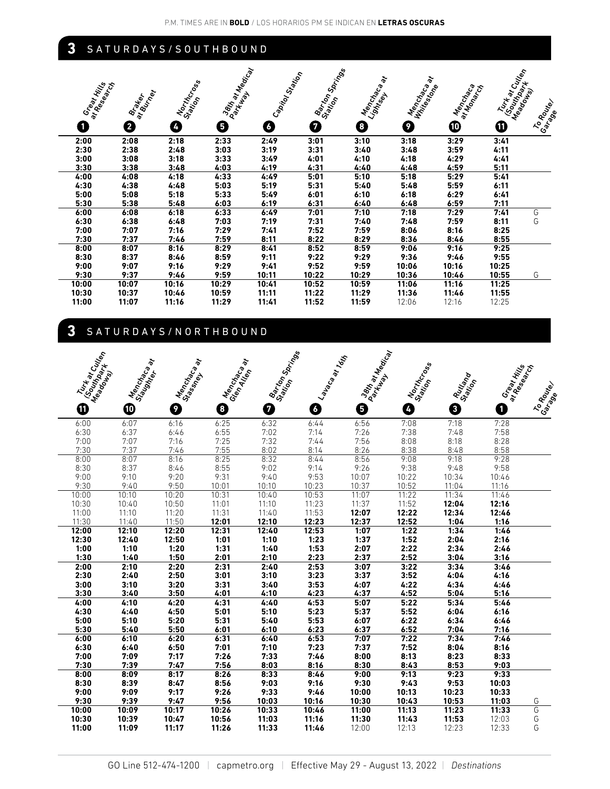## **3** SATURDAYS/SOUTHBOUND

| Great Hills | <b>Brazillar</b> | Northcross | I 38th at Marcal | Capital Station | I Barton Springer | Menchantly<br>Lightsey | Mencial Recall<br><b>Hitlestone</b> | Mencial<br>at Manus | Turk at Cultion<br>ISouthone | To Router |
|-------------|------------------|------------|------------------|-----------------|-------------------|------------------------|-------------------------------------|---------------------|------------------------------|-----------|
| ſ           | 0                | Ø          | ❺                | 6               | 0                 | G                      | 0                                   | ⊕                   | ❶                            | Garage    |
| 2:00        | 2:08             | 2:18       | 2:33             | 2:49            | 3:01              | 3:10                   | 3:18                                | 3:29                | 3:41                         |           |
| 2:30        | 2:38             | 2:48       | 3:03             | 3:19            | 3:31              | 3:40                   | 3:48                                | 3:59                | 4:11                         |           |
| 3:00        | 3:08             | 3:18       | 3:33             | 3:49            | 4:01              | 4:10                   | 4:18                                | 4:29                | 4:41                         |           |
| 3:30        | 3:38             | 3:48       | 4:03             | 4:19            | 4:31              | 4:40                   | 4:48                                | 4:59                | 5:11                         |           |
| 4:00        | 4:08             | 4:18       | 4:33             | 4:49            | 5:01              | 5:10                   | 5:18                                | 5:29                | 5.41                         |           |
| 4:30        | 4:38             | 4:48       | 5:03             | 5:19            | 5:31              | 5:40                   | 5:48                                | 5:59                | 6:11                         |           |
| 5:00        | 5:08             | 5:18       | 5:33             | 5:49            | 6:01              | 6:10                   | 6:18                                | 6:29                | 6:41                         |           |
| 5:30        | 5:38             | 5:48       | 6:03             | 6:19            | 6:31              | 6:40                   | 6:48                                | 6:59                | 7:11                         |           |
| 6:00        | 6:08             | 6:18       | 6:33             | 6:49            | 7:01              | 7:10                   | 7:18                                | 7:29                | 7.41                         | G         |
| 6:30        | 6:38             | 6:48       | 7:03             | 7:19            | 7:31              | 7:40                   | 7:48                                | 7:59                | 8:11                         | G         |
| 7:00        | 7:07             | 7:16       | 7:29             | 7.41            | 7:52              | 7:59                   | 8:06                                | 8:16                | 8:25                         |           |
| 7:30        | 7:37             | 7:46       | 7:59             | 8:11            | 8:22              | 8:29                   | 8:36                                | 8:46                | 8:55                         |           |
| 8:00        | 8:07             | 8:16       | 8:29             | 8:41            | 8:52              | 8:59                   | 9:06                                | 9:16                | 9:25                         |           |
| 8:30        | 8:37             | 8:46       | 8:59             | 9:11            | 9:22              | 9:29                   | 9:36                                | 9:46                | 9:55                         |           |
| 9:00        | 9:07             | 9:16       | 9:29             | 9:41            | 9:52              | 9:59                   | 10:06                               | 10:16               | 10:25                        |           |
| 9:30        | 9:37             | 9:46       | 9:59             | 10:11           | 10:22             | 10:29                  | 10:36                               | 10:46               | 10:55                        | G         |
| 10:00       | 10:07            | 10:16      | 10:29            | 10:41           | 10:52             | 10:59                  | 11:06                               | 11:16               | 11:25                        |           |
| 10:30       | 10:37            | 10:46      | 10:59            | 11:11           | 11:22             | 11:29                  | 11:36                               | 11:46               | 11:55                        |           |
| 11:00       | 11:07            | 11:16      | 11:29            | 11:41           | 11:52             | 11:59                  | 12:06                               | 12:16               | 12:25                        |           |

# **3** SATURDAYS/NORTHBOUND

| Turk at Cuttan<br>(Southpoork) | $\tilde{\bm{\delta}}$<br>Menchades<br>Slagonter | ÷<br>Menchador | $\tilde{\sigma}$<br>Menchacos<br>Glendtien | Barton Springs | Lapaca at Totil | 38th at Macial | Northcross       |                    | Great Hills<br>at Research |                     |
|--------------------------------|-------------------------------------------------|----------------|--------------------------------------------|----------------|-----------------|----------------|------------------|--------------------|----------------------------|---------------------|
| Meadowns                       |                                                 | Stassmer       |                                            |                |                 | Parkway        | Station          | Rutland<br>Station |                            |                     |
| ➊                              | $\boldsymbol{\Phi}$                             | 9              | $\boxed{8}$                                | Ø              | 4               | 6              | $\boldsymbol{I}$ | 0                  | 0                          | To Route<br>Carrace |
| 6:00                           | 6:07                                            | 6:16           | 6:25                                       | 6:32           | 6:44            | 6:56           | 7:08             | 7:18               | 7:28                       |                     |
| 6:30                           | 6:37                                            | 6:46           | 6:55                                       | 7:02           | 7:14            | 7:26           | 7:38             | 7:48               | 7:58                       |                     |
| 7:00                           | 7:07                                            | 7:16           | 7:25                                       | 7:32           | 7:44            | 7:56           | 8:08             | 8:18               | 8:28                       |                     |
| 7:30                           | 7:37                                            | 7:46           | 7:55                                       | 8:02           | 8:14            | 8:26           | 8:38             | 8:48               | 8:58                       |                     |
| 8:00                           | 8:07                                            | 8:16           | 8:25                                       | 8:32           | 8:44            | 8:56           | 9:08             | 9:18               | 9:28                       |                     |
| 8:30                           | 8:37                                            | 8:46           | 8:55                                       | 9:02           | 9:14            | 9:26           | 9:38             | 9:48               | 9:58                       |                     |
| 9:00                           | 9:10                                            | 9:20           | 9:31                                       | 9:40           | 9:53            | 10:07          | 10:22            | 10:34              | 10:46                      |                     |
| 9:30                           | 9:40                                            | 9:50           | 10:01                                      | 10:10          | 10:23           | 10:37          | 10:52            | 11:04              | 11:16                      |                     |
| 10:00                          | 10:10                                           | 10:20          | 10:31                                      | 10:40          | 10:53           | 11:07          | 11:22            | 11:34              | 11:46                      |                     |
| 10:30                          | 10:40                                           | 10:50          | 11:01                                      | 11:10          | 11:23           | 11:37          | 11:52            | 12:04              | 12:16                      |                     |
| 11:00                          | 11:10                                           | 11:20          | 11:31                                      | 11:40          | 11:53           | 12:07          | 12:22            | 12:34              | 12:46                      |                     |
| 11:30                          | 11:40                                           | 11:50          | 12:01                                      | 12:10          | 12:23           | 12:37          | 12:52            | 1:04               | 1:16                       |                     |
| 12:00                          | 12:10                                           | 12:20          | 12:31                                      | 12:40          | 12:53           | 1:07           | 1:22             | 1:34               | 1:46                       |                     |
| 12:30                          | 12:40                                           | 12:50          | 1:01                                       | 1:10           | 1:23            | 1:37           | 1:52             | 2:04               | 2:16                       |                     |
| 1:00                           | 1:10                                            | 1:20           | 1:31                                       | 1:40           | 1:53            | 2:07           | 2:22             | 2:34               | 2:46                       |                     |
| 1:30                           | 1:40                                            | 1:50           | 2:01                                       | 2:10           | 2:23            | 2:37           | 2:52             | 3:04               | 3:16                       |                     |
| 2:00                           | 2:10                                            | 2:20           | 2:31                                       | 2:40           | 2:53            | 3:07           | 3:22             | 3:34               | 3:46                       |                     |
| 2:30                           | 2:40                                            | 2:50           | 3:01                                       | 3:10           | 3:23            | 3:37           | 3:52             | 4:04               | 4:16                       |                     |
| 3:00                           | 3:10                                            | 3:20           | 3:31                                       | 3:40           | 3:53            | 4:07           | 4:22             | 4:34               | 4:46                       |                     |
| 3:30                           | 3:40                                            | 3:50           | 4:01                                       | 4:10           | 4:23            | 4:37           | 4:52             | 5:04               | 5:16                       |                     |
| 4:00                           | 4:10                                            | 4:20           | 4:31                                       | 4:40           | 4:53            | 5:07           | 5:22             | 5:34               | 5:46                       |                     |
| 4:30                           | 4:40                                            | 4:50           | 5:01                                       | 5:10           | 5:23            | 5:37           | 5:52             | 6:04               | 6:16                       |                     |
| 5:00<br>5:30                   | 5:10<br>5:40                                    | 5:20<br>5:50   | 5:31<br>6:01                               | 5:40<br>6:10   | 5:53<br>6:23    | 6:07           | 6:22             | 6:34<br>7:04       | 6:46<br>7:16               |                     |
| 6:00                           | 6:10                                            | 6:20           | 6:31                                       | 6:40           | 6:53            | 6:37<br>7:07   | 6:52<br>7:22     | 7:34               | 7:46                       |                     |
| 6:30                           | 6:40                                            | 6:50           | 7:01                                       | 7:10           | 7:23            | 7:37           | 7:52             | 8:04               | 8:16                       |                     |
| 7:00                           | 7:09                                            | 7:17           | 7:26                                       | 7:33           | 7:46            | 8:00           | 8:13             | 8:23               | 8:33                       |                     |
| 7:30                           | 7:39                                            | 7:47           | 7:56                                       | 8:03           | 8:16            | 8:30           | 8:43             | 8:53               | 9:03                       |                     |
| 8:00                           | 8:09                                            | 8:17           | 8:26                                       | 8:33           | 8:46            | 9:00           | 9:13             | 9:23               | 9:33                       |                     |
| 8:30                           | 8:39                                            | 8:47           | 8:56                                       | 9:03           | 9:16            | 9:30           | 9:43             | 9:53               | 10:03                      |                     |
| 9:00                           | 9:09                                            | 9:17           | 9:26                                       | 9:33           | 9:46            | 10:00          | 10:13            | 10:23              | 10:33                      |                     |
| 9:30                           | 9:39                                            | 9:47           | 9:56                                       | 10:03          | 10:16           | 10:30          | 10:43            | 10:53              | 11:03                      | G                   |
| 10:00                          | 10:09                                           | 10:17          | 10:26                                      | 10:33          | 10:46           | 11:00          | 11:13            | 11:23              | 11:33                      | G                   |
| 10:30                          | 10:39                                           | 10:47          | 10:56                                      | 11:03          | 11:16           | 11:30          | 11:43            | 11:53              | 12:03                      | G                   |
| 11:00                          | 11:09                                           | 11:17          | 11:26                                      | 11:33          | 11:46           | 12:00          | 12:13            | 12:23              | 12:33                      | G                   |
|                                |                                                 |                |                                            |                |                 |                |                  |                    |                            |                     |